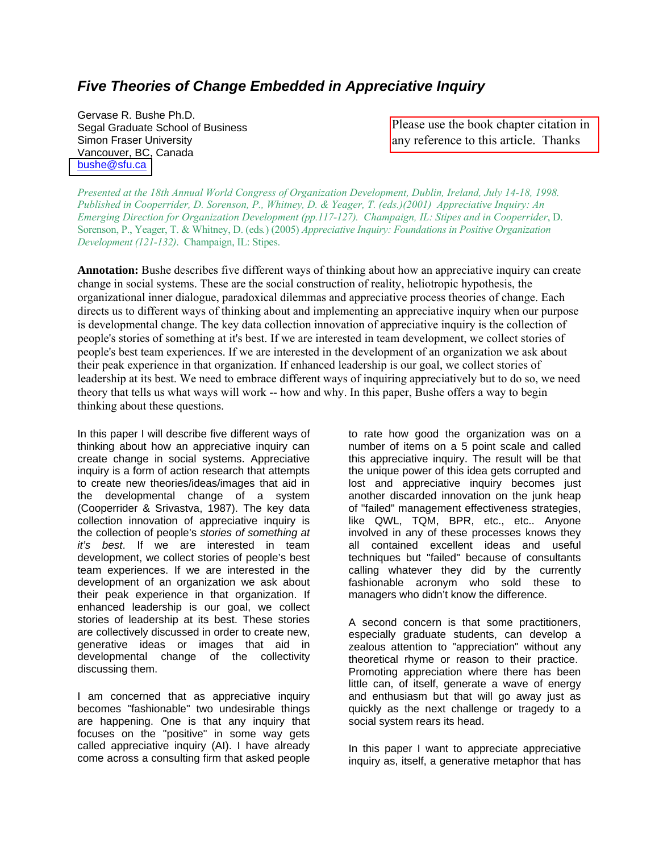# *Five Theories of Change Embedded in Appreciative Inquiry*

Gervase R. Bushe Ph.D. Segal Graduate School of Business Simon Fraser University Vancouver, BC, Canada [bushe@sfu.ca](mailto:bushe@sfu.ca)

Please use the book chapter citation in any reference to this article. Thanks

*Presented at the 18th Annual World Congress of Organization Development, Dublin, Ireland, July 14-18, 1998. Published in Cooperrider, D. Sorenson, P., Whitney, D. & Yeager, T. (eds.)(2001) Appreciative Inquiry: An Emerging Direction for Organization Development (pp.117-127). Champaign, IL: Stipes and in Cooperrider*, D. Sorenson, P., Yeager, T. & Whitney, D. (eds*.*) (2005) *Appreciative Inquiry: Foundations in Positive Organization Development (121-132)*. Champaign, IL: Stipes.

**Annotation:** Bushe describes five different ways of thinking about how an appreciative inquiry can create change in social systems. These are the social construction of reality, heliotropic hypothesis, the organizational inner dialogue, paradoxical dilemmas and appreciative process theories of change. Each directs us to different ways of thinking about and implementing an appreciative inquiry when our purpose is developmental change. The key data collection innovation of appreciative inquiry is the collection of people's stories of something at it's best. If we are interested in team development, we collect stories of people's best team experiences. If we are interested in the development of an organization we ask about their peak experience in that organization. If enhanced leadership is our goal, we collect stories of leadership at its best. We need to embrace different ways of inquiring appreciatively but to do so, we need theory that tells us what ways will work -- how and why. In this paper, Bushe offers a way to begin thinking about these questions.

In this paper I will describe five different ways of thinking about how an appreciative inquiry can create change in social systems. Appreciative inquiry is a form of action research that attempts to create new theories/ideas/images that aid in the developmental change of a system (Cooperrider & Srivastva, 1987). The key data collection innovation of appreciative inquiry is the collection of people's *stories of something at it's best*. If we are interested in team development, we collect stories of people's best team experiences. If we are interested in the development of an organization we ask about their peak experience in that organization. If enhanced leadership is our goal, we collect stories of leadership at its best. These stories are collectively discussed in order to create new, generative ideas or images that aid in developmental change of the collectivity discussing them.

I am concerned that as appreciative inquiry becomes "fashionable" two undesirable things are happening. One is that any inquiry that focuses on the "positive" in some way gets called appreciative inquiry (AI). I have already come across a consulting firm that asked people to rate how good the organization was on a number of items on a 5 point scale and called this appreciative inquiry. The result will be that the unique power of this idea gets corrupted and lost and appreciative inquiry becomes just another discarded innovation on the junk heap of "failed" management effectiveness strategies, like QWL, TQM, BPR, etc., etc.. Anyone involved in any of these processes knows they all contained excellent ideas and useful techniques but "failed" because of consultants calling whatever they did by the currently fashionable acronym who sold these to managers who didn't know the difference.

A second concern is that some practitioners, especially graduate students, can develop a zealous attention to "appreciation" without any theoretical rhyme or reason to their practice. Promoting appreciation where there has been little can, of itself, generate a wave of energy and enthusiasm but that will go away just as quickly as the next challenge or tragedy to a social system rears its head.

In this paper I want to appreciate appreciative inquiry as, itself, a generative metaphor that has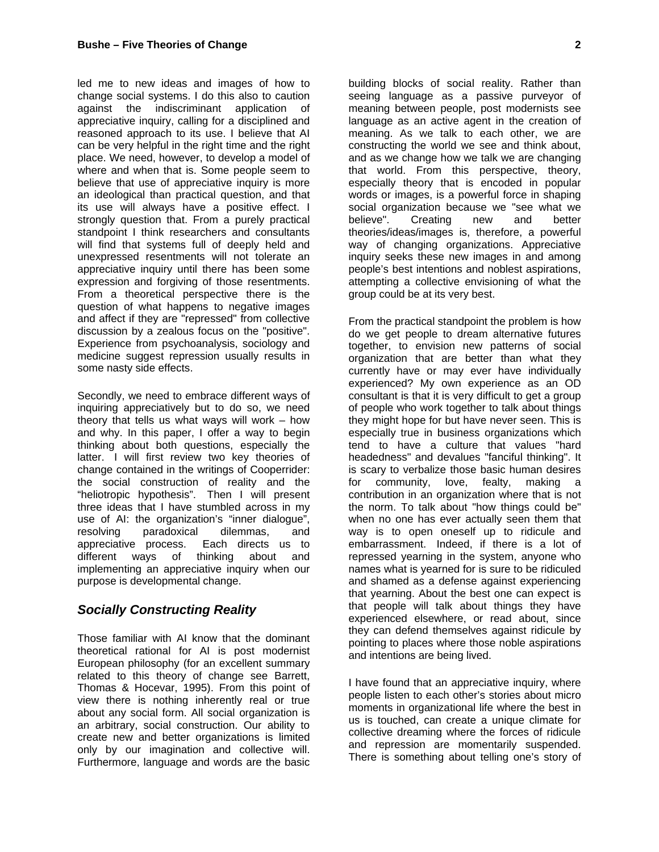led me to new ideas and images of how to change social systems. I do this also to caution against the indiscriminant application of appreciative inquiry, calling for a disciplined and reasoned approach to its use. I believe that AI can be very helpful in the right time and the right place. We need, however, to develop a model of where and when that is. Some people seem to believe that use of appreciative inquiry is more an ideological than practical question, and that its use will always have a positive effect. I strongly question that. From a purely practical standpoint I think researchers and consultants will find that systems full of deeply held and unexpressed resentments will not tolerate an appreciative inquiry until there has been some expression and forgiving of those resentments. From a theoretical perspective there is the question of what happens to negative images and affect if they are "repressed" from collective discussion by a zealous focus on the "positive". Experience from psychoanalysis, sociology and medicine suggest repression usually results in some nasty side effects.

Secondly, we need to embrace different ways of inquiring appreciatively but to do so, we need theory that tells us what ways will work  $-$  how and why. In this paper, I offer a way to begin thinking about both questions, especially the latter. I will first review two key theories of change contained in the writings of Cooperrider: the social construction of reality and the "heliotropic hypothesis". Then I will present three ideas that I have stumbled across in my use of AI: the organization's "inner dialogue", resolving paradoxical dilemmas, and appreciative process. Each directs us to different ways of thinking about and implementing an appreciative inquiry when our purpose is developmental change.

# *Socially Constructing Reality*

Those familiar with AI know that the dominant theoretical rational for AI is post modernist European philosophy (for an excellent summary related to this theory of change see Barrett, Thomas & Hocevar, 1995). From this point of view there is nothing inherently real or true about any social form. All social organization is an arbitrary, social construction. Our ability to create new and better organizations is limited only by our imagination and collective will. Furthermore, language and words are the basic

building blocks of social reality. Rather than seeing language as a passive purveyor of meaning between people, post modernists see language as an active agent in the creation of meaning. As we talk to each other, we are constructing the world we see and think about, and as we change how we talk we are changing that world. From this perspective, theory, especially theory that is encoded in popular words or images, is a powerful force in shaping social organization because we "see what we believe". Creating new and better theories/ideas/images is, therefore, a powerful way of changing organizations. Appreciative inquiry seeks these new images in and among people's best intentions and noblest aspirations, attempting a collective envisioning of what the group could be at its very best.

From the practical standpoint the problem is how do we get people to dream alternative futures together, to envision new patterns of social organization that are better than what they currently have or may ever have individually experienced? My own experience as an OD consultant is that it is very difficult to get a group of people who work together to talk about things they might hope for but have never seen. This is especially true in business organizations which tend to have a culture that values "hard headedness" and devalues "fanciful thinking". It is scary to verbalize those basic human desires for community, love, fealty, making a contribution in an organization where that is not the norm. To talk about "how things could be" when no one has ever actually seen them that way is to open oneself up to ridicule and embarrassment. Indeed, if there is a lot of repressed yearning in the system, anyone who names what is yearned for is sure to be ridiculed and shamed as a defense against experiencing that yearning. About the best one can expect is that people will talk about things they have experienced elsewhere, or read about, since they can defend themselves against ridicule by pointing to places where those noble aspirations and intentions are being lived.

I have found that an appreciative inquiry, where people listen to each other's stories about micro moments in organizational life where the best in us is touched, can create a unique climate for collective dreaming where the forces of ridicule and repression are momentarily suspended. There is something about telling one's story of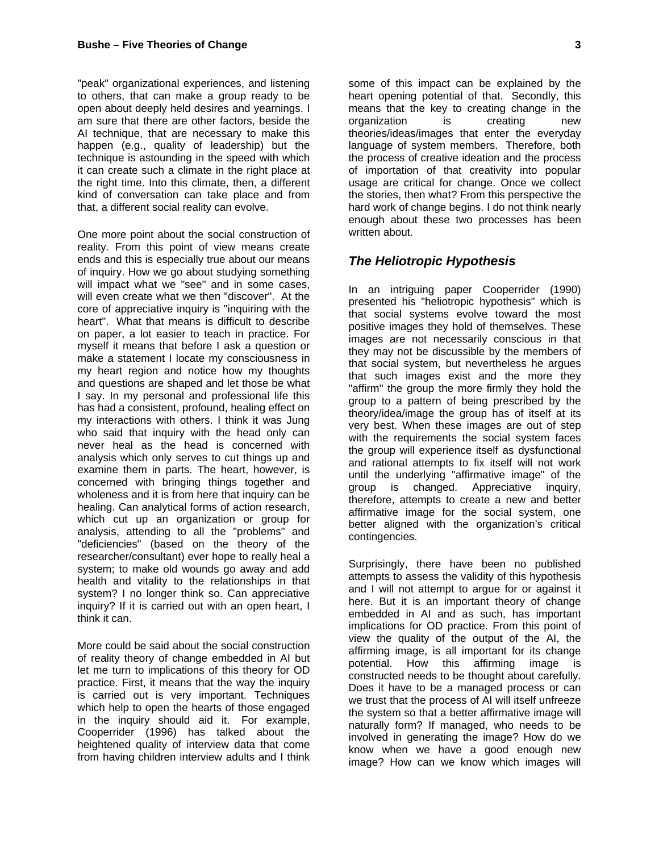"peak" organizational experiences, and listening to others, that can make a group ready to be open about deeply held desires and yearnings. I am sure that there are other factors, beside the AI technique, that are necessary to make this happen (e.g., quality of leadership) but the technique is astounding in the speed with which it can create such a climate in the right place at the right time. Into this climate, then, a different kind of conversation can take place and from that, a different social reality can evolve.

One more point about the social construction of reality. From this point of view means create ends and this is especially true about our means of inquiry. How we go about studying something will impact what we "see" and in some cases, will even create what we then "discover". At the core of appreciative inquiry is "inquiring with the heart". What that means is difficult to describe on paper, a lot easier to teach in practice. For myself it means that before I ask a question or make a statement I locate my consciousness in my heart region and notice how my thoughts and questions are shaped and let those be what I say. In my personal and professional life this has had a consistent, profound, healing effect on my interactions with others. I think it was Jung who said that inquiry with the head only can never heal as the head is concerned with analysis which only serves to cut things up and examine them in parts. The heart, however, is concerned with bringing things together and wholeness and it is from here that inquiry can be healing. Can analytical forms of action research, which cut up an organization or group for analysis, attending to all the "problems" and "deficiencies" (based on the theory of the researcher/consultant) ever hope to really heal a system; to make old wounds go away and add health and vitality to the relationships in that system? I no longer think so. Can appreciative inquiry? If it is carried out with an open heart, I think it can.

More could be said about the social construction of reality theory of change embedded in AI but let me turn to implications of this theory for OD practice. First, it means that the way the inquiry is carried out is very important. Techniques which help to open the hearts of those engaged in the inquiry should aid it. For example, Cooperrider (1996) has talked about the heightened quality of interview data that come from having children interview adults and I think

some of this impact can be explained by the heart opening potential of that. Secondly, this means that the key to creating change in the organization is creating new theories/ideas/images that enter the everyday language of system members. Therefore, both the process of creative ideation and the process of importation of that creativity into popular usage are critical for change. Once we collect the stories, then what? From this perspective the hard work of change begins. I do not think nearly enough about these two processes has been written about.

# *The Heliotropic Hypothesis*

In an intriguing paper Cooperrider (1990) presented his "heliotropic hypothesis" which is that social systems evolve toward the most positive images they hold of themselves. These images are not necessarily conscious in that they may not be discussible by the members of that social system, but nevertheless he argues that such images exist and the more they "affirm" the group the more firmly they hold the group to a pattern of being prescribed by the theory/idea/image the group has of itself at its very best. When these images are out of step with the requirements the social system faces the group will experience itself as dysfunctional and rational attempts to fix itself will not work until the underlying "affirmative image" of the group is changed. Appreciative inquiry, therefore, attempts to create a new and better affirmative image for the social system, one better aligned with the organization's critical contingencies.

Surprisingly, there have been no published attempts to assess the validity of this hypothesis and I will not attempt to argue for or against it here. But it is an important theory of change embedded in AI and as such, has important implications for OD practice. From this point of view the quality of the output of the AI, the affirming image, is all important for its change potential. How this affirming image is constructed needs to be thought about carefully. Does it have to be a managed process or can we trust that the process of AI will itself unfreeze the system so that a better affirmative image will naturally form? If managed, who needs to be involved in generating the image? How do we know when we have a good enough new image? How can we know which images will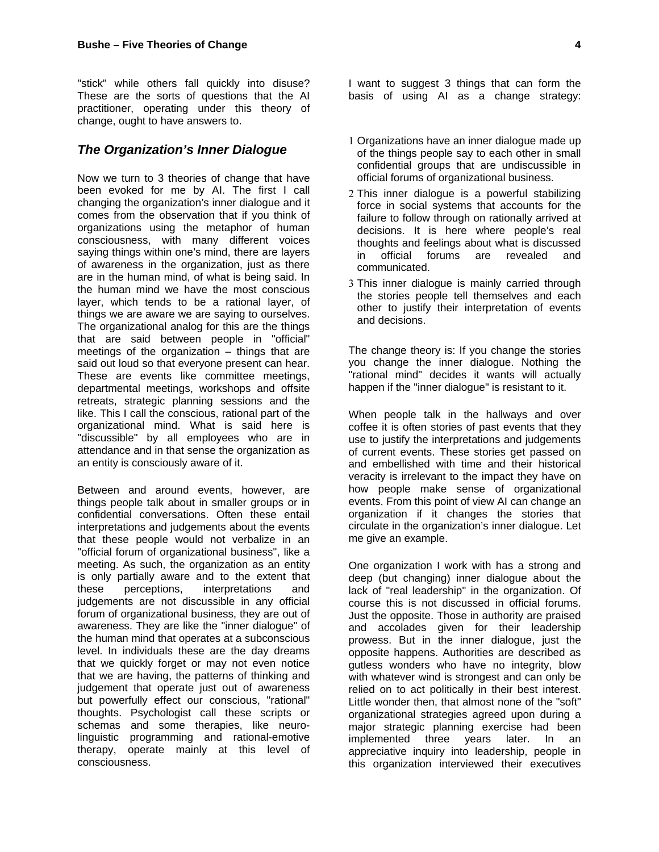"stick" while others fall quickly into disuse? These are the sorts of questions that the AI practitioner, operating under this theory of change, ought to have answers to.

### *The Organization's Inner Dialogue*

Now we turn to 3 theories of change that have been evoked for me by AI. The first I call changing the organization's inner dialogue and it comes from the observation that if you think of organizations using the metaphor of human consciousness, with many different voices saying things within one's mind, there are layers of awareness in the organization, just as there are in the human mind, of what is being said. In the human mind we have the most conscious layer, which tends to be a rational layer, of things we are aware we are saying to ourselves. The organizational analog for this are the things that are said between people in "official" meetings of the organization – things that are said out loud so that everyone present can hear. These are events like committee meetings, departmental meetings, workshops and offsite retreats, strategic planning sessions and the like. This I call the conscious, rational part of the organizational mind. What is said here is "discussible" by all employees who are in attendance and in that sense the organization as an entity is consciously aware of it.

Between and around events, however, are things people talk about in smaller groups or in confidential conversations. Often these entail interpretations and judgements about the events that these people would not verbalize in an "official forum of organizational business", like a meeting. As such, the organization as an entity is only partially aware and to the extent that these perceptions, interpretations and judgements are not discussible in any official forum of organizational business, they are out of awareness. They are like the "inner dialogue" of the human mind that operates at a subconscious level. In individuals these are the day dreams that we quickly forget or may not even notice that we are having, the patterns of thinking and judgement that operate just out of awareness but powerfully effect our conscious, "rational" thoughts. Psychologist call these scripts or schemas and some therapies, like neurolinguistic programming and rational-emotive therapy, operate mainly at this level of consciousness.

I want to suggest 3 things that can form the basis of using AI as a change strategy:

- 1 Organizations have an inner dialogue made up of the things people say to each other in small confidential groups that are undiscussible in official forums of organizational business.
- 2 This inner dialogue is a powerful stabilizing force in social systems that accounts for the failure to follow through on rationally arrived at decisions. It is here where people's real thoughts and feelings about what is discussed in official forums are revealed and communicated.
- 3 This inner dialogue is mainly carried through the stories people tell themselves and each other to justify their interpretation of events and decisions.

The change theory is: If you change the stories you change the inner dialogue. Nothing the "rational mind" decides it wants will actually happen if the "inner dialogue" is resistant to it.

When people talk in the hallways and over coffee it is often stories of past events that they use to justify the interpretations and judgements of current events. These stories get passed on and embellished with time and their historical veracity is irrelevant to the impact they have on how people make sense of organizational events. From this point of view AI can change an organization if it changes the stories that circulate in the organization's inner dialogue. Let me give an example.

One organization I work with has a strong and deep (but changing) inner dialogue about the lack of "real leadership" in the organization. Of course this is not discussed in official forums. Just the opposite. Those in authority are praised and accolades given for their leadership prowess. But in the inner dialogue, just the opposite happens. Authorities are described as gutless wonders who have no integrity, blow with whatever wind is strongest and can only be relied on to act politically in their best interest. Little wonder then, that almost none of the "soft" organizational strategies agreed upon during a major strategic planning exercise had been implemented three years later. In an appreciative inquiry into leadership, people in this organization interviewed their executives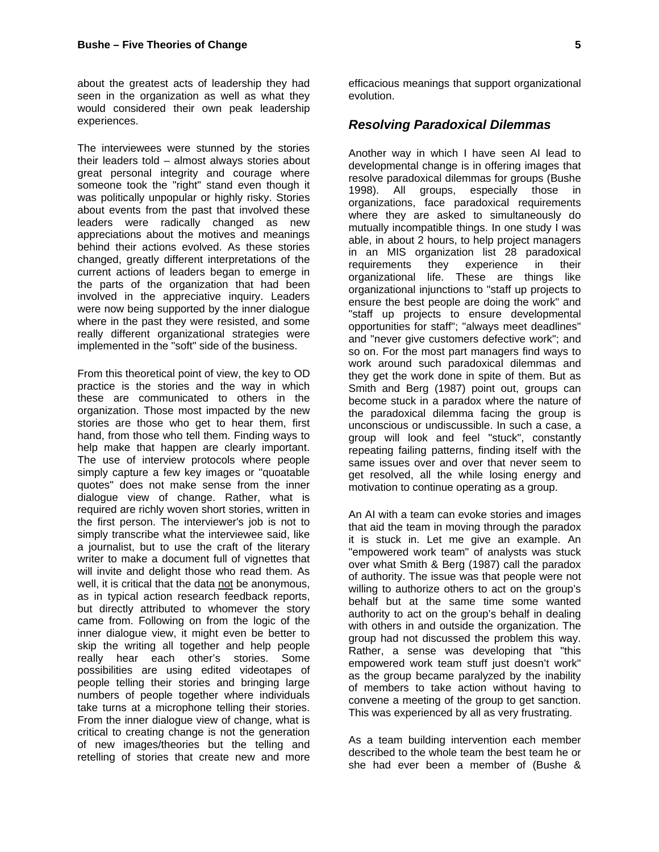about the greatest acts of leadership they had seen in the organization as well as what they would considered their own peak leadership experiences.

The interviewees were stunned by the stories their leaders told – almost always stories about great personal integrity and courage where someone took the "right" stand even though it was politically unpopular or highly risky. Stories about events from the past that involved these leaders were radically changed as new appreciations about the motives and meanings behind their actions evolved. As these stories changed, greatly different interpretations of the current actions of leaders began to emerge in the parts of the organization that had been involved in the appreciative inquiry. Leaders were now being supported by the inner dialogue where in the past they were resisted, and some really different organizational strategies were implemented in the "soft" side of the business.

From this theoretical point of view, the key to OD practice is the stories and the way in which these are communicated to others in the organization. Those most impacted by the new stories are those who get to hear them, first hand, from those who tell them. Finding ways to help make that happen are clearly important. The use of interview protocols where people simply capture a few key images or "quoatable quotes" does not make sense from the inner dialogue view of change. Rather, what is required are richly woven short stories, written in the first person. The interviewer's job is not to simply transcribe what the interviewee said, like a journalist, but to use the craft of the literary writer to make a document full of vignettes that will invite and delight those who read them. As well, it is critical that the data not be anonymous, as in typical action research feedback reports, but directly attributed to whomever the story came from. Following on from the logic of the inner dialogue view, it might even be better to skip the writing all together and help people really hear each other's stories. Some possibilities are using edited videotapes of people telling their stories and bringing large numbers of people together where individuals take turns at a microphone telling their stories. From the inner dialogue view of change, what is critical to creating change is not the generation of new images/theories but the telling and retelling of stories that create new and more

efficacious meanings that support organizational evolution.

# *Resolving Paradoxical Dilemmas*

Another way in which I have seen AI lead to developmental change is in offering images that resolve paradoxical dilemmas for groups (Bushe 1998). All groups, especially those in organizations, face paradoxical requirements where they are asked to simultaneously do mutually incompatible things. In one study I was able, in about 2 hours, to help project managers in an MIS organization list 28 paradoxical requirements they experience in their organizational life. These are things like organizational injunctions to "staff up projects to ensure the best people are doing the work" and "staff up projects to ensure developmental opportunities for staff"; "always meet deadlines" and "never give customers defective work"; and so on. For the most part managers find ways to work around such paradoxical dilemmas and they get the work done in spite of them. But as Smith and Berg (1987) point out, groups can become stuck in a paradox where the nature of the paradoxical dilemma facing the group is unconscious or undiscussible. In such a case, a group will look and feel "stuck", constantly repeating failing patterns, finding itself with the same issues over and over that never seem to get resolved, all the while losing energy and motivation to continue operating as a group.

An AI with a team can evoke stories and images that aid the team in moving through the paradox it is stuck in. Let me give an example. An "empowered work team" of analysts was stuck over what Smith & Berg (1987) call the paradox of authority. The issue was that people were not willing to authorize others to act on the group's behalf but at the same time some wanted authority to act on the group's behalf in dealing with others in and outside the organization. The group had not discussed the problem this way. Rather, a sense was developing that "this empowered work team stuff just doesn't work" as the group became paralyzed by the inability of members to take action without having to convene a meeting of the group to get sanction. This was experienced by all as very frustrating.

As a team building intervention each member described to the whole team the best team he or she had ever been a member of (Bushe &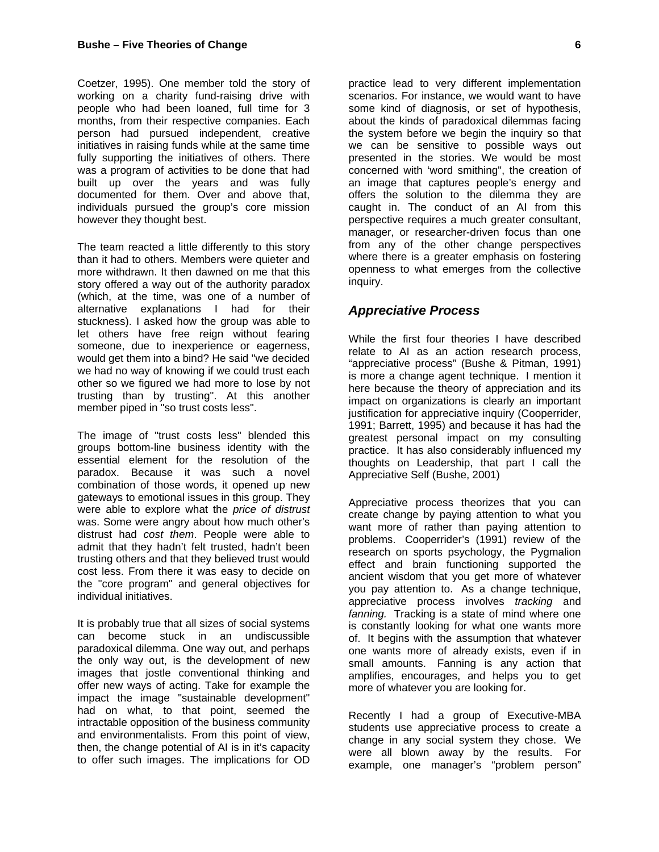Coetzer, 1995). One member told the story of working on a charity fund-raising drive with people who had been loaned, full time for 3 months, from their respective companies. Each person had pursued independent, creative initiatives in raising funds while at the same time fully supporting the initiatives of others. There was a program of activities to be done that had built up over the years and was fully documented for them. Over and above that, individuals pursued the group's core mission however they thought best.

The team reacted a little differently to this story than it had to others. Members were quieter and more withdrawn. It then dawned on me that this story offered a way out of the authority paradox (which, at the time, was one of a number of alternative explanations I had for their stuckness). I asked how the group was able to let others have free reign without fearing someone, due to inexperience or eagerness, would get them into a bind? He said "we decided we had no way of knowing if we could trust each other so we figured we had more to lose by not trusting than by trusting". At this another member piped in "so trust costs less".

The image of "trust costs less" blended this groups bottom-line business identity with the essential element for the resolution of the paradox. Because it was such a novel combination of those words, it opened up new gateways to emotional issues in this group. They were able to explore what the *price of distrust* was. Some were angry about how much other's distrust had *cost them*. People were able to admit that they hadn't felt trusted, hadn't been trusting others and that they believed trust would cost less. From there it was easy to decide on the "core program" and general objectives for individual initiatives.

It is probably true that all sizes of social systems can become stuck in an undiscussible paradoxical dilemma. One way out, and perhaps the only way out, is the development of new images that jostle conventional thinking and offer new ways of acting. Take for example the impact the image "sustainable development" had on what, to that point, seemed the intractable opposition of the business community and environmentalists. From this point of view, then, the change potential of AI is in it's capacity to offer such images. The implications for OD

practice lead to very different implementation scenarios. For instance, we would want to have some kind of diagnosis, or set of hypothesis, about the kinds of paradoxical dilemmas facing the system before we begin the inquiry so that we can be sensitive to possible ways out presented in the stories. We would be most concerned with 'word smithing", the creation of an image that captures people's energy and offers the solution to the dilemma they are caught in. The conduct of an AI from this perspective requires a much greater consultant, manager, or researcher-driven focus than one from any of the other change perspectives where there is a greater emphasis on fostering openness to what emerges from the collective inquiry.

## *Appreciative Process*

While the first four theories I have described relate to AI as an action research process, "appreciative process" (Bushe & Pitman, 1991) is more a change agent technique. I mention it here because the theory of appreciation and its impact on organizations is clearly an important justification for appreciative inquiry (Cooperrider, 1991; Barrett, 1995) and because it has had the greatest personal impact on my consulting practice. It has also considerably influenced my thoughts on Leadership, that part I call the Appreciative Self (Bushe, 2001)

Appreciative process theorizes that you can create change by paying attention to what you want more of rather than paying attention to problems. Cooperrider's (1991) review of the research on sports psychology, the Pygmalion effect and brain functioning supported the ancient wisdom that you get more of whatever you pay attention to. As a change technique, appreciative process involves *tracking* and *fanning.* Tracking is a state of mind where one is constantly looking for what one wants more of. It begins with the assumption that whatever one wants more of already exists, even if in small amounts. Fanning is any action that amplifies, encourages, and helps you to get more of whatever you are looking for.

Recently I had a group of Executive-MBA students use appreciative process to create a change in any social system they chose. We were all blown away by the results. For example, one manager's "problem person"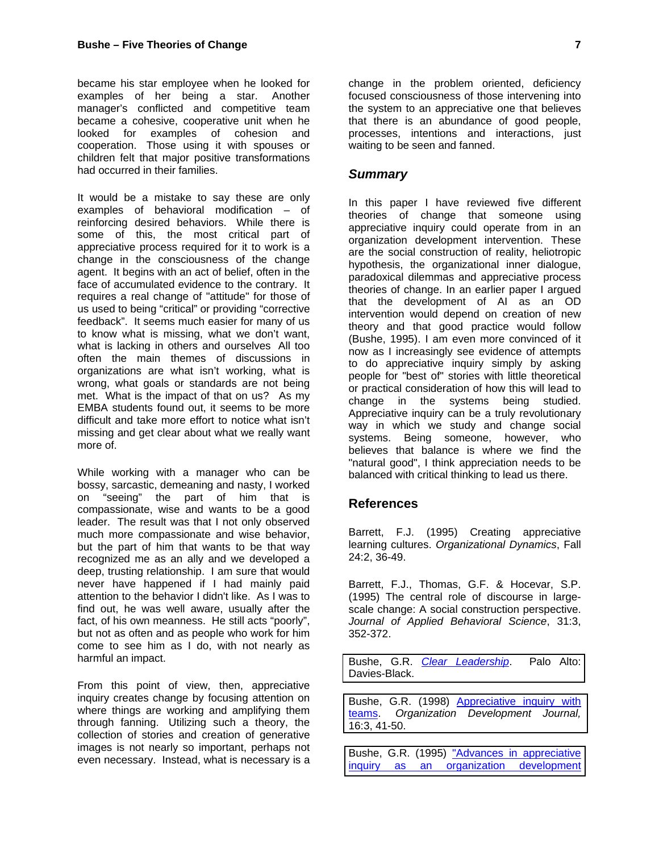became his star employee when he looked for examples of her being a star. Another manager's conflicted and competitive team became a cohesive, cooperative unit when he looked for examples of cohesion and cooperation. Those using it with spouses or children felt that major positive transformations had occurred in their families.

It would be a mistake to say these are only examples of behavioral modification – of reinforcing desired behaviors. While there is some of this, the most critical part of appreciative process required for it to work is a change in the consciousness of the change agent. It begins with an act of belief, often in the face of accumulated evidence to the contrary. It requires a real change of "attitude" for those of us used to being "critical" or providing "corrective feedback". It seems much easier for many of us to know what is missing, what we don't want, what is lacking in others and ourselves All too often the main themes of discussions in organizations are what isn't working, what is wrong, what goals or standards are not being met. What is the impact of that on us? As my EMBA students found out, it seems to be more difficult and take more effort to notice what isn't missing and get clear about what we really want more of.

While working with a manager who can be bossy, sarcastic, demeaning and nasty, I worked on "seeing" the part of him that is compassionate, wise and wants to be a good leader. The result was that I not only observed much more compassionate and wise behavior, but the part of him that wants to be that way recognized me as an ally and we developed a deep, trusting relationship. I am sure that would never have happened if I had mainly paid attention to the behavior I didn't like. As I was to find out, he was well aware, usually after the fact, of his own meanness. He still acts "poorly", but not as often and as people who work for him come to see him as I do, with not nearly as harmful an impact.

From this point of view, then, appreciative inquiry creates change by focusing attention on where things are working and amplifying them through fanning. Utilizing such a theory, the collection of stories and creation of generative images is not nearly so important, perhaps not even necessary. Instead, what is necessary is a

change in the problem oriented, deficiency focused consciousness of those intervening into the system to an appreciative one that believes that there is an abundance of good people, processes, intentions and interactions, just waiting to be seen and fanned.

#### *Summary*

In this paper I have reviewed five different theories of change that someone using appreciative inquiry could operate from in an organization development intervention. These are the social construction of reality, heliotropic hypothesis, the organizational inner dialogue, paradoxical dilemmas and appreciative process theories of change. In an earlier paper I argued that the development of AI as an OD intervention would depend on creation of new theory and that good practice would follow (Bushe, 1995). I am even more convinced of it now as I increasingly see evidence of attempts to do appreciative inquiry simply by asking people for "best of" stories with little theoretical or practical consideration of how this will lead to change in the systems being studied. Appreciative inquiry can be a truly revolutionary way in which we study and change social systems. Being someone, however, who believes that balance is where we find the "natural good", I think appreciation needs to be balanced with critical thinking to lead us there.

#### **References**

Barrett, F.J. (1995) Creating appreciative learning cultures. *Organizational Dynamics*, Fall 24:2, 36-49.

Barrett, F.J., Thomas, G.F. & Hocevar, S.P. (1995) The central role of discourse in largescale change: A social construction perspective. *Journal of Applied Behavioral Science*, 31:3, 352-372.

Bushe, G.R. *[Clear Leadership](www.clearleadership.com)*. Palo Alto: Davies-Black.

Bushe, G.R. (1998) Appreciative inquiry with teams. *Organization Development Journal,*  16:3, 41-50.

Bushe, G.R. (1995) "Advances in appreciative inquiry as an organization development